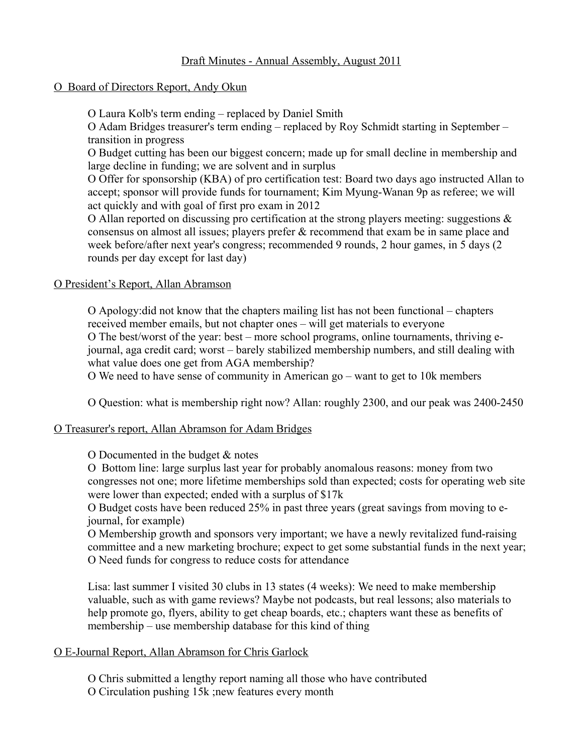### Draft Minutes - Annual Assembly, August 2011

### O Board of Directors Report, Andy Okun

O Laura Kolb's term ending – replaced by Daniel Smith

O Adam Bridges treasurer's term ending – replaced by Roy Schmidt starting in September – transition in progress

O Budget cutting has been our biggest concern; made up for small decline in membership and large decline in funding; we are solvent and in surplus

O Offer for sponsorship (KBA) of pro certification test: Board two days ago instructed Allan to accept; sponsor will provide funds for tournament; Kim Myung-Wanan 9p as referee; we will act quickly and with goal of first pro exam in 2012

O Allan reported on discussing pro certification at the strong players meeting: suggestions & consensus on almost all issues; players prefer & recommend that exam be in same place and week before/after next year's congress; recommended 9 rounds, 2 hour games, in 5 days (2 rounds per day except for last day)

### O President's Report, Allan Abramson

O Apology:did not know that the chapters mailing list has not been functional chapters received member emails, but not chapter ones – will get materials to everyone O The best/worst of the year: best – more school programs, online tournaments, thriving ejournal, aga credit card; worst – barely stabilized membership numbers, and still dealing with what value does one get from AGA membership?

O We need to have sense of community in American go  $-$  want to get to 10k members

O Question: what is membership right now? Allan: roughly 2300, and our peak was 2400-2450

#### O Treasurer's report, Allan Abramson for Adam Bridges

O Documented in the budget & notes

O Bottom line: large surplus last year for probably anomalous reasons: money from two congresses not one; more lifetime memberships sold than expected; costs for operating web site were lower than expected; ended with a surplus of \$17k

O Budget costs have been reduced 25% in past three years (great savings from moving to ejournal, for example)

O Membership growth and sponsors very important; we have a newly revitalized fund-raising committee and a new marketing brochure; expect to get some substantial funds in the next year; O Need funds for congress to reduce costs for attendance

Lisa: last summer I visited 30 clubs in 13 states (4 weeks): We need to make membership valuable, such as with game reviews? Maybe not podcasts, but real lessons; also materials to help promote go, flyers, ability to get cheap boards, etc.; chapters want these as benefits of membership  $-$  use membership database for this kind of thing

#### O E-Journal Report, Allan Abramson for Chris Garlock

O Chris submitted a lengthy report naming all those who have contributed

O Circulation pushing 15k ;new features every month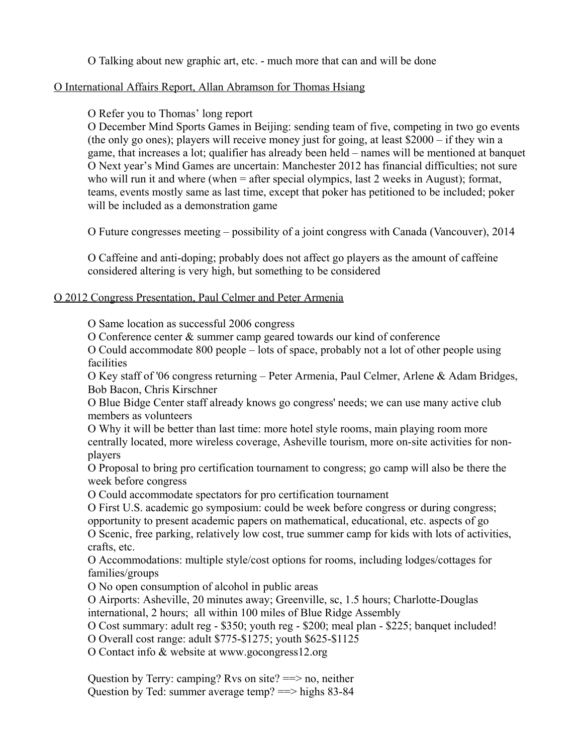O Talking about new graphic art, etc. - much more that can and will be done

### O International Affairs Report, Allan Abramson for Thomas Hsiang

## O Refer you to Thomas' long report

O December Mind Sports Games in Beijing: sending team of five, competing in two go events (the only go ones); players will receive money just for going, at least  $$2000 - if they win a$ game, that increases a lot; qualifier has already been held – names will be mentioned at banquet O Next year's Mind Games are uncertain: Manchester 2012 has financial difficulties; not sure who will run it and where (when = after special olympics, last 2 weeks in August); format, teams, events mostly same as last time, except that poker has petitioned to be included; poker will be included as a demonstration game

O Future congresses meeting possibility of a joint congress with Canada (Vancouver), 2014

O Caffeine and anti-doping; probably does not affect go players as the amount of caffeine considered altering is very high, but something to be considered

### O 2012 Congress Presentation, Paul Celmer and Peter Armenia

O Same location as successful 2006 congress

O Conference center & summer camp geared towards our kind of conference

O Could accommodate 800 people – lots of space, probably not a lot of other people using facilities

O Key staff of '06 congress returning – Peter Armenia, Paul Celmer, Arlene & Adam Bridges, Bob Bacon, Chris Kirschner

O Blue Bidge Center staff already knows go congress' needs; we can use many active club members as volunteers

O Why it will be better than last time: more hotel style rooms, main playing room more centrally located, more wireless coverage, Asheville tourism, more on-site activities for nonplayers

O Proposal to bring pro certification tournament to congress; go camp will also be there the week before congress

O Could accommodate spectators for pro certification tournament

O First U.S. academic go symposium: could be week before congress or during congress;

opportunity to present academic papers on mathematical, educational, etc. aspects of go

O Scenic, free parking, relatively low cost, true summer camp for kids with lots of activities, crafts, etc.

O Accommodations: multiple style/cost options for rooms, including lodges/cottages for families/groups

O No open consumption of alcohol in public areas

O Airports: Asheville, 20 minutes away; Greenville, sc, 1.5 hours; Charlotte-Douglas international, 2 hours; all within 100 miles of Blue Ridge Assembly

O Cost summary: adult reg - \$350; youth reg - \$200; meal plan - \$225; banquet included!

O Overall cost range: adult \$775-\$1275; youth \$625-\$1125

O Contact info & website at www.gocongress12.org

Question by Terry: camping? Rvs on site?  $\equiv$  > no, neither Question by Ted: summer average temp? ==> highs 83-84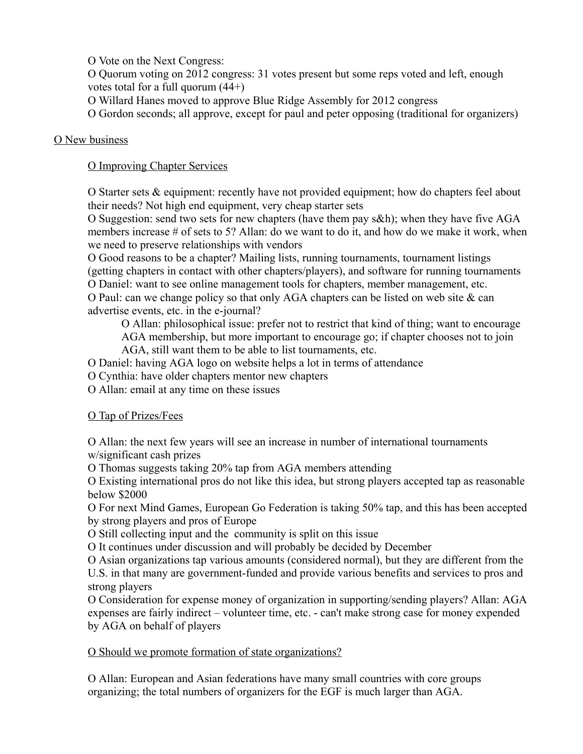O Vote on the Next Congress:

O Quorum voting on 2012 congress: 31 votes present but some reps voted and left, enough votes total for a full quorum (44+)

- O Willard Hanes moved to approve Blue Ridge Assembly for 2012 congress
- O Gordon seconds; all approve, except for paul and peter opposing (traditional for organizers)

## O New business

# O Improving Chapter Services

O Starter sets & equipment: recently have not provided equipment; how do chapters feel about their needs? Not high end equipment, very cheap starter sets

O Suggestion: send two sets for new chapters (have them pay s&h); when they have five AGA members increase # of sets to 5? Allan: do we want to do it, and how do we make it work, when we need to preserve relationships with vendors

O Good reasons to be a chapter? Mailing lists, running tournaments, tournament listings (getting chapters in contact with other chapters/players), and software for running tournaments O Daniel: want to see online management tools for chapters, member management, etc. O Paul: can we change policy so that only AGA chapters can be listed on web site & can advertise events, etc. in the e-journal?

O Allan: philosophical issue: prefer not to restrict that kind of thing; want to encourage AGA membership, but more important to encourage go; if chapter chooses not to join AGA, still want them to be able to list tournaments, etc.

O Daniel: having AGA logo on website helps a lot in terms of attendance

O Cynthia: have older chapters mentor new chapters

O Allan: email at any time on these issues

# O Tap of Prizes/Fees

O Allan: the next few years will see an increase in number of international tournaments w/significant cash prizes

O Thomas suggests taking 20% tap from AGA members attending

O Existing international pros do not like this idea, but strong players accepted tap as reasonable below \$2000

O For next Mind Games, European Go Federation is taking 50% tap, and this has been accepted by strong players and pros of Europe

O Still collecting input and the community is split on this issue

O It continues under discussion and will probably be decided by December

O Asian organizations tap various amounts (considered normal), but they are different from the U.S. in that many are government-funded and provide various benefits and services to pros and strong players

O Consideration for expense money of organization in supporting/sending players? Allan: AGA expenses are fairly indirect – volunteer time, etc. - can't make strong case for money expended by AGA on behalf of players

# O Should we promote formation of state organizations?

O Allan: European and Asian federations have many small countries with core groups organizing; the total numbers of organizers for the EGF is much larger than AGA.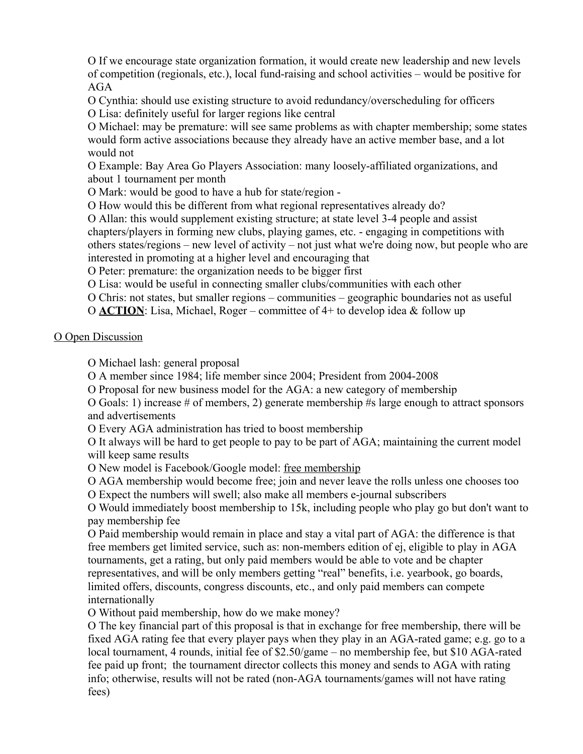O If we encourage state organization formation, it would create new leadership and new levels of competition (regionals, etc.), local fund-raising and school activities – would be positive for AGA

O Cynthia: should use existing structure to avoid redundancy/overscheduling for officers O Lisa: definitely useful for larger regions like central

O Michael: may be premature: will see same problems as with chapter membership; some states would form active associations because they already have an active member base, and a lot would not

O Example: Bay Area Go Players Association: many loosely-affiliated organizations, and about 1 tournament per month

O Mark: would be good to have a hub for state/region -

O How would this be different from what regional representatives already do?

O Allan: this would supplement existing structure; at state level 3-4 people and assist chapters/players in forming new clubs, playing games, etc. - engaging in competitions with others states/regions – new level of activity – not just what we're doing now, but people who are interested in promoting at a higher level and encouraging that

O Peter: premature: the organization needs to be bigger first

O Lisa: would be useful in connecting smaller clubs/communities with each other

O Chris: not states, but smaller regions communities geographic boundaries not as useful

O **ACTION**: Lisa, Michael, Roger – committee of 4+ to develop idea & follow up

#### O Open Discussion

O Michael lash: general proposal

O A member since 1984; life member since 2004; President from 2004-2008

O Proposal for new business model for the AGA: a new category of membership

O Goals: 1) increase # of members, 2) generate membership #s large enough to attract sponsors and advertisements

O Every AGA administration has tried to boost membership

O It always will be hard to get people to pay to be part of AGA; maintaining the current model will keep same results

O New model is Facebook/Google model: free membership

O AGA membership would become free; join and never leave the rolls unless one chooses too

O Expect the numbers will swell; also make all members e-journal subscribers

O Would immediately boost membership to 15k, including people who play go but don't want to pay membership fee

O Paid membership would remain in place and stay a vital part of AGA: the difference is that free members get limited service, such as: non-members edition of ej, eligible to play in AGA tournaments, get a rating, but only paid members would be able to vote and be chapter representatives, and will be only members getting "real" benefits, i.e. yearbook, go boards, limited offers, discounts, congress discounts, etc., and only paid members can compete internationally

O Without paid membership, how do we make money?

O The key financial part of this proposal is that in exchange for free membership, there will be fixed AGA rating fee that every player pays when they play in an AGA-rated game; e.g. go to a local tournament, 4 rounds, initial fee of \$2.50/game – no membership fee, but \$10 AGA-rated fee paid up front; the tournament director collects this money and sends to AGA with rating info; otherwise, results will not be rated (non-AGA tournaments/games will not have rating fees)